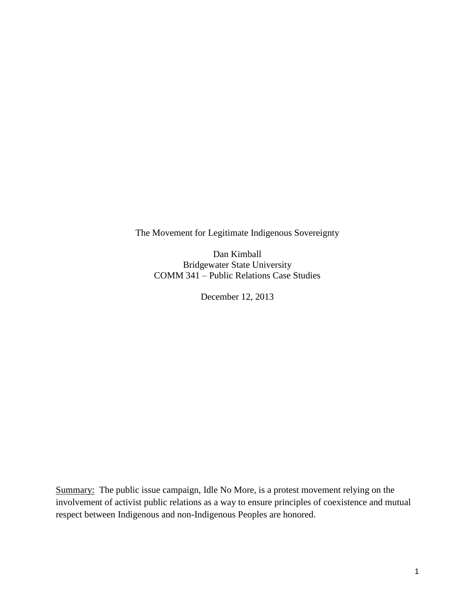The Movement for Legitimate Indigenous Sovereignty

Dan Kimball Bridgewater State University COMM 341 – Public Relations Case Studies

December 12, 2013

Summary: The public issue campaign, Idle No More, is a protest movement relying on the involvement of activist public relations as a way to ensure principles of coexistence and mutual respect between Indigenous and non-Indigenous Peoples are honored.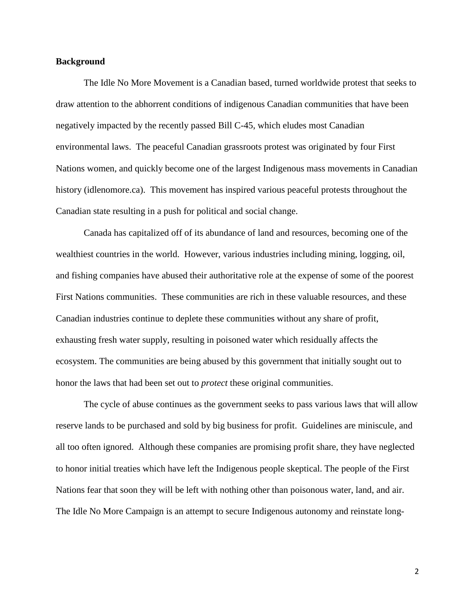## **Background**

The Idle No More Movement is a Canadian based, turned worldwide protest that seeks to draw attention to the abhorrent conditions of indigenous Canadian communities that have been negatively impacted by the recently passed Bill C-45, which eludes most Canadian environmental laws. The peaceful Canadian grassroots protest was originated by four First Nations women, and quickly become one of the largest Indigenous mass movements in Canadian history (idlenomore.ca). This movement has inspired various peaceful protests throughout the Canadian state resulting in a push for political and social change.

Canada has capitalized off of its abundance of land and resources, becoming one of the wealthiest countries in the world. However, various industries including mining, logging, oil, and fishing companies have abused their authoritative role at the expense of some of the poorest First Nations communities. These communities are rich in these valuable resources, and these Canadian industries continue to deplete these communities without any share of profit, exhausting fresh water supply, resulting in poisoned water which residually affects the ecosystem. The communities are being abused by this government that initially sought out to honor the laws that had been set out to *protect* these original communities.

The cycle of abuse continues as the government seeks to pass various laws that will allow reserve lands to be purchased and sold by big business for profit. Guidelines are miniscule, and all too often ignored. Although these companies are promising profit share, they have neglected to honor initial treaties which have left the Indigenous people skeptical. The people of the First Nations fear that soon they will be left with nothing other than poisonous water, land, and air. The Idle No More Campaign is an attempt to secure Indigenous autonomy and reinstate long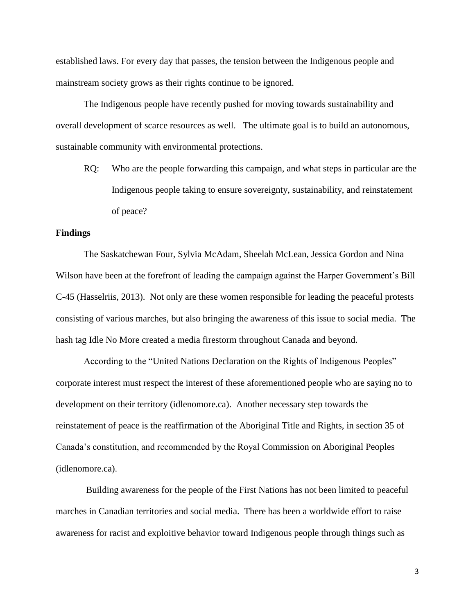established laws. For every day that passes, the tension between the Indigenous people and mainstream society grows as their rights continue to be ignored.

The Indigenous people have recently pushed for moving towards sustainability and overall development of scarce resources as well. The ultimate goal is to build an autonomous, sustainable community with environmental protections.

RQ: Who are the people forwarding this campaign, and what steps in particular are the Indigenous people taking to ensure sovereignty, sustainability, and reinstatement of peace?

## **Findings**

The Saskatchewan Four, Sylvia McAdam, Sheelah McLean, Jessica Gordon and Nina Wilson have been at the forefront of leading the campaign against the Harper Government's Bill C-45 (Hasselriis, 2013). Not only are these women responsible for leading the peaceful protests consisting of various marches, but also bringing the awareness of this issue to social media. The hash tag Idle No More created a media firestorm throughout Canada and beyond.

According to the "United Nations Declaration on the Rights of Indigenous Peoples" corporate interest must respect the interest of these aforementioned people who are saying no to development on their territory (idlenomore.ca). Another necessary step towards the reinstatement of peace is the reaffirmation of the Aboriginal Title and Rights, in section 35 of Canada's constitution, and recommended by the Royal Commission on Aboriginal Peoples (idlenomore.ca).

Building awareness for the people of the First Nations has not been limited to peaceful marches in Canadian territories and social media. There has been a worldwide effort to raise awareness for racist and exploitive behavior toward Indigenous people through things such as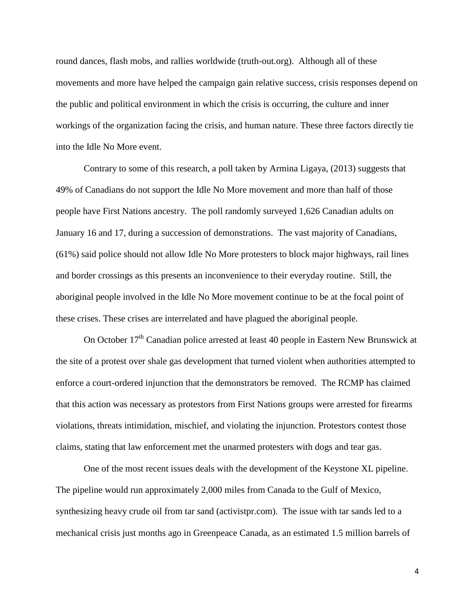round dances, flash mobs, and rallies worldwide (truth-out.org). Although all of these movements and more have helped the campaign gain relative success, crisis responses depend on the public and political environment in which the crisis is occurring, the culture and inner workings of the organization facing the crisis, and human nature. These three factors directly tie into the Idle No More event.

Contrary to some of this research, a poll taken by Armina Ligaya, (2013) suggests that 49% of Canadians do not support the Idle No More movement and more than half of those people have First Nations ancestry. The poll randomly surveyed 1,626 Canadian adults on January 16 and 17, during a succession of demonstrations. The vast majority of Canadians, (61%) said police should not allow Idle No More protesters to block major highways, rail lines and border crossings as this presents an inconvenience to their everyday routine. Still, the aboriginal people involved in the Idle No More movement continue to be at the focal point of these crises. These crises are interrelated and have plagued the aboriginal people.

On October 17<sup>th</sup> Canadian police arrested at least 40 people in Eastern New Brunswick at the site of a protest over shale gas development that turned violent when authorities attempted to enforce a court-ordered injunction that the demonstrators be removed. The RCMP has claimed that this action was necessary as protestors from First Nations groups were arrested for firearms violations, threats intimidation, mischief, and violating the injunction. Protestors contest those claims, stating that law enforcement met the unarmed protesters with dogs and tear gas.

One of the most recent issues deals with the development of the Keystone XL pipeline. The pipeline would run approximately 2,000 miles from Canada to the Gulf of Mexico, synthesizing heavy crude oil from tar sand (activistpr.com). The issue with tar sands led to a mechanical crisis just months ago in Greenpeace Canada, as an estimated 1.5 million barrels of

4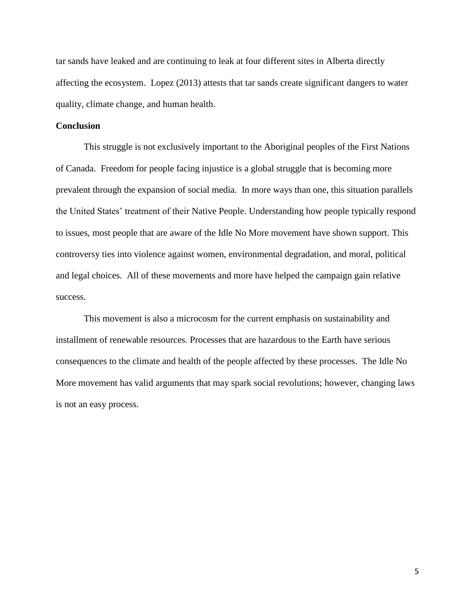tar sands have leaked and are continuing to leak at four different sites in Alberta directly affecting the ecosystem. Lopez (2013) attests that tar sands create significant dangers to water quality, climate change, and human health.

## **Conclusion**

This struggle is not exclusively important to the Aboriginal peoples of the First Nations of Canada. Freedom for people facing injustice is a global struggle that is becoming more prevalent through the expansion of social media. In more ways than one, this situation parallels the United States' treatment of their Native People. Understanding how people typically respond to issues, most people that are aware of the Idle No More movement have shown support. This controversy ties into violence against women, environmental degradation, and moral, political and legal choices. All of these movements and more have helped the campaign gain relative success.

This movement is also a microcosm for the current emphasis on sustainability and installment of renewable resources. Processes that are hazardous to the Earth have serious consequences to the climate and health of the people affected by these processes. The Idle No More movement has valid arguments that may spark social revolutions; however, changing laws is not an easy process.